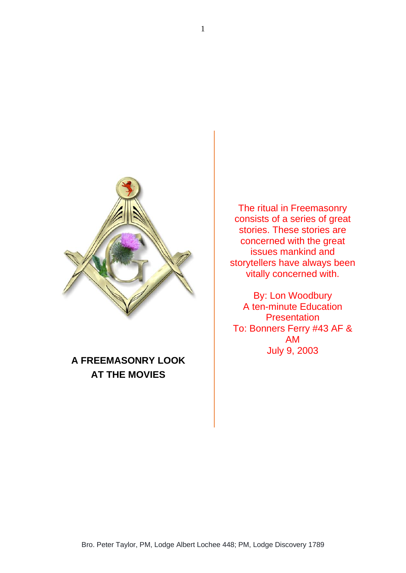

## **A FREEMASONRY LOOK AT THE MOVIES**

The ritual in Freemasonry consists of a series of great stories. These stories are concerned with the great issues mankind and storytellers have always been vitally concerned with.

By: Lon Woodbury A ten-minute Education **Presentation** To: Bonners Ferry #43 AF & AM July 9, 2003

1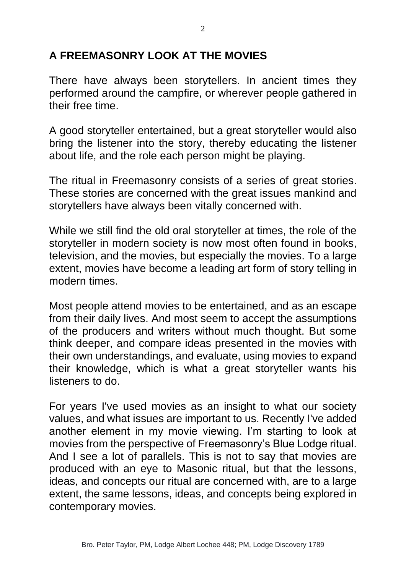## **A FREEMASONRY LOOK AT THE MOVIES**

There have always been storytellers. In ancient times they performed around the campfire, or wherever people gathered in their free time.

A good storyteller entertained, but a great storyteller would also bring the listener into the story, thereby educating the listener about life, and the role each person might be playing.

The ritual in Freemasonry consists of a series of great stories. These stories are concerned with the great issues mankind and storytellers have always been vitally concerned with.

While we still find the old oral storyteller at times, the role of the storyteller in modern society is now most often found in books, television, and the movies, but especially the movies. To a large extent, movies have become a leading art form of story telling in modern times.

Most people attend movies to be entertained, and as an escape from their daily lives. And most seem to accept the assumptions of the producers and writers without much thought. But some think deeper, and compare ideas presented in the movies with their own understandings, and evaluate, using movies to expand their knowledge, which is what a great storyteller wants his listeners to do.

For years I've used movies as an insight to what our society values, and what issues are important to us. Recently I've added another element in my movie viewing. I'm starting to look at movies from the perspective of Freemasonry's Blue Lodge ritual. And I see a lot of parallels. This is not to say that movies are produced with an eye to Masonic ritual, but that the lessons, ideas, and concepts our ritual are concerned with, are to a large extent, the same lessons, ideas, and concepts being explored in contemporary movies.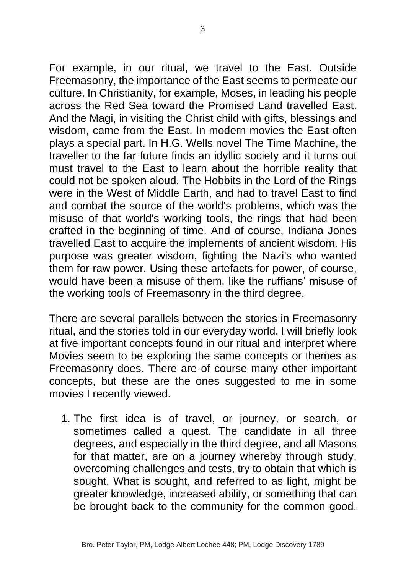For example, in our ritual, we travel to the East. Outside Freemasonry, the importance of the East seems to permeate our culture. In Christianity, for example, Moses, in leading his people across the Red Sea toward the Promised Land travelled East. And the Magi, in visiting the Christ child with gifts, blessings and wisdom, came from the East. In modern movies the East often plays a special part. In H.G. Wells novel The Time Machine, the traveller to the far future finds an idyllic society and it turns out must travel to the East to learn about the horrible reality that could not be spoken aloud. The Hobbits in the Lord of the Rings were in the West of Middle Earth, and had to travel East to find and combat the source of the world's problems, which was the misuse of that world's working tools, the rings that had been crafted in the beginning of time. And of course, Indiana Jones travelled East to acquire the implements of ancient wisdom. His purpose was greater wisdom, fighting the Nazi's who wanted them for raw power. Using these artefacts for power, of course, would have been a misuse of them, like the ruffians' misuse of the working tools of Freemasonry in the third degree.

There are several parallels between the stories in Freemasonry ritual, and the stories told in our everyday world. I will briefly look at five important concepts found in our ritual and interpret where Movies seem to be exploring the same concepts or themes as Freemasonry does. There are of course many other important concepts, but these are the ones suggested to me in some movies I recently viewed.

1. The first idea is of travel, or journey, or search, or sometimes called a quest. The candidate in all three degrees, and especially in the third degree, and all Masons for that matter, are on a journey whereby through study, overcoming challenges and tests, try to obtain that which is sought. What is sought, and referred to as light, might be greater knowledge, increased ability, or something that can be brought back to the community for the common good.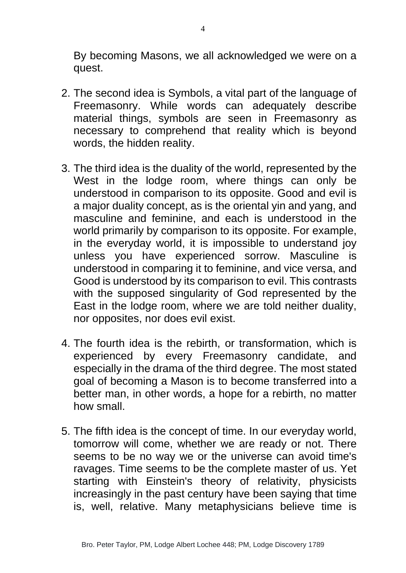By becoming Masons, we all acknowledged we were on a quest.

- 2. The second idea is Symbols, a vital part of the language of Freemasonry. While words can adequately describe material things, symbols are seen in Freemasonry as necessary to comprehend that reality which is beyond words, the hidden reality.
- 3. The third idea is the duality of the world, represented by the West in the lodge room, where things can only be understood in comparison to its opposite. Good and evil is a major duality concept, as is the oriental yin and yang, and masculine and feminine, and each is understood in the world primarily by comparison to its opposite. For example, in the everyday world, it is impossible to understand joy unless you have experienced sorrow. Masculine is understood in comparing it to feminine, and vice versa, and Good is understood by its comparison to evil. This contrasts with the supposed singularity of God represented by the East in the lodge room, where we are told neither duality, nor opposites, nor does evil exist.
- 4. The fourth idea is the rebirth, or transformation, which is experienced by every Freemasonry candidate, and especially in the drama of the third degree. The most stated goal of becoming a Mason is to become transferred into a better man, in other words, a hope for a rebirth, no matter how small.
- 5. The fifth idea is the concept of time. In our everyday world, tomorrow will come, whether we are ready or not. There seems to be no way we or the universe can avoid time's ravages. Time seems to be the complete master of us. Yet starting with Einstein's theory of relativity, physicists increasingly in the past century have been saying that time is, well, relative. Many metaphysicians believe time is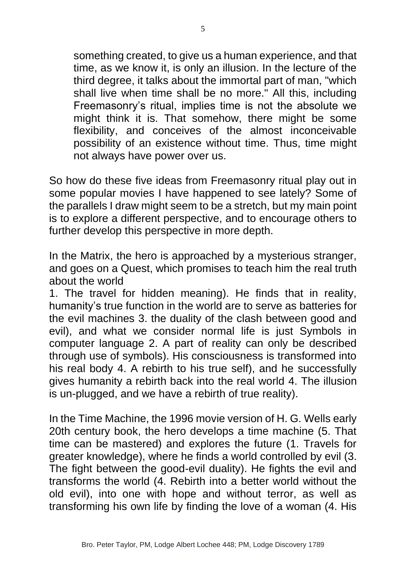something created, to give us a human experience, and that time, as we know it, is only an illusion. In the lecture of the third degree, it talks about the immortal part of man, "which shall live when time shall be no more." All this, including Freemasonry's ritual, implies time is not the absolute we might think it is. That somehow, there might be some flexibility, and conceives of the almost inconceivable possibility of an existence without time. Thus, time might not always have power over us.

So how do these five ideas from Freemasonry ritual play out in some popular movies I have happened to see lately? Some of the parallels I draw might seem to be a stretch, but my main point is to explore a different perspective, and to encourage others to further develop this perspective in more depth.

In the Matrix, the hero is approached by a mysterious stranger, and goes on a Quest, which promises to teach him the real truth about the world

1. The travel for hidden meaning). He finds that in reality, humanity's true function in the world are to serve as batteries for the evil machines 3. the duality of the clash between good and evil), and what we consider normal life is just Symbols in computer language 2. A part of reality can only be described through use of symbols). His consciousness is transformed into his real body 4. A rebirth to his true self), and he successfully gives humanity a rebirth back into the real world 4. The illusion is un-plugged, and we have a rebirth of true reality).

In the Time Machine, the 1996 movie version of H. G. Wells early 20th century book, the hero develops a time machine (5. That time can be mastered) and explores the future (1. Travels for greater knowledge), where he finds a world controlled by evil (3. The fight between the good-evil duality). He fights the evil and transforms the world (4. Rebirth into a better world without the old evil), into one with hope and without terror, as well as transforming his own life by finding the love of a woman (4. His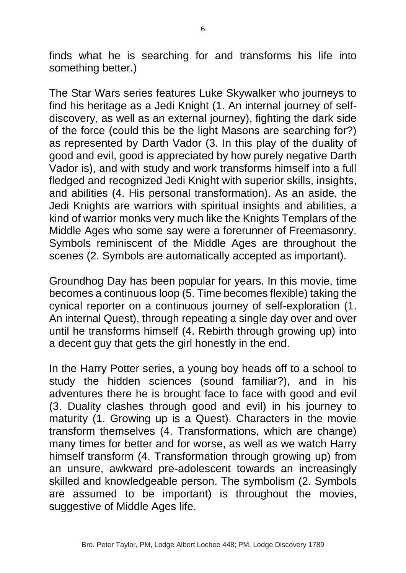finds what he is searching for and transforms his life into something better.)

The Star Wars series features Luke Skywalker who journeys to find his heritage as a Jedi Knight (1. An internal journey of selfdiscovery, as well as an external journey), fighting the dark side of the force (could this be the light Masons are searching for?) as represented by Darth Vador (3. In this play of the duality of good and evil, good is appreciated by how purely negative Darth Vador is), and with study and work transforms himself into a full fledged and recognized Jedi Knight with superior skills, insights, and abilities (4. His personal transformation). As an aside, the Jedi Knights are warriors with spiritual insights and abilities, a kind of warrior monks very much like the Knights Templars of the Middle Ages who some say were a forerunner of Freemasonry. Symbols reminiscent of the Middle Ages are throughout the scenes (2. Symbols are automatically accepted as important).

Groundhog Day has been popular for years. In this movie, time becomes a continuous loop (5. Time becomes flexible) taking the cynical reporter on a continuous journey of self-exploration (1. An internal Quest), through repeating a single day over and over until he transforms himself (4. Rebirth through growing up) into a decent guy that gets the girl honestly in the end.

In the Harry Potter series, a young boy heads off to a school to study the hidden sciences (sound familiar?), and in his adventures there he is brought face to face with good and evil (3. Duality clashes through good and evil) in his journey to maturity (1. Growing up is a Quest). Characters in the movie transform themselves (4. Transformations, which are change) many times for better and for worse, as well as we watch Harry himself transform (4. Transformation through growing up) from an unsure, awkward pre-adolescent towards an increasingly skilled and knowledgeable person. The symbolism (2. Symbols are assumed to be important) is throughout the movies, suggestive of Middle Ages life.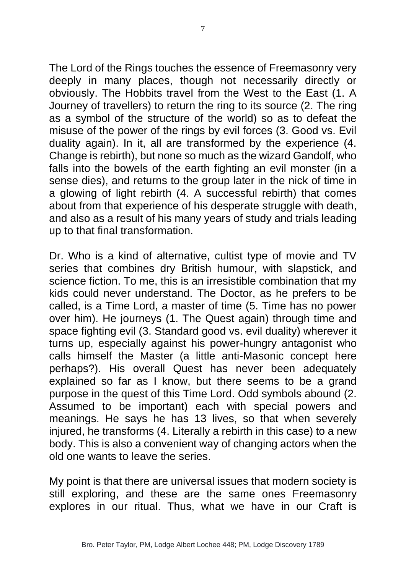The Lord of the Rings touches the essence of Freemasonry very deeply in many places, though not necessarily directly or obviously. The Hobbits travel from the West to the East (1. A Journey of travellers) to return the ring to its source (2. The ring as a symbol of the structure of the world) so as to defeat the misuse of the power of the rings by evil forces (3. Good vs. Evil duality again). In it, all are transformed by the experience (4. Change is rebirth), but none so much as the wizard Gandolf, who falls into the bowels of the earth fighting an evil monster (in a sense dies), and returns to the group later in the nick of time in a glowing of light rebirth (4. A successful rebirth) that comes about from that experience of his desperate struggle with death, and also as a result of his many years of study and trials leading up to that final transformation.

Dr. Who is a kind of alternative, cultist type of movie and TV series that combines dry British humour, with slapstick, and science fiction. To me, this is an irresistible combination that my kids could never understand. The Doctor, as he prefers to be called, is a Time Lord, a master of time (5. Time has no power over him). He journeys (1. The Quest again) through time and space fighting evil (3. Standard good vs. evil duality) wherever it turns up, especially against his power-hungry antagonist who calls himself the Master (a little anti-Masonic concept here perhaps?). His overall Quest has never been adequately explained so far as I know, but there seems to be a grand purpose in the quest of this Time Lord. Odd symbols abound (2. Assumed to be important) each with special powers and meanings. He says he has 13 lives, so that when severely injured, he transforms (4. Literally a rebirth in this case) to a new body. This is also a convenient way of changing actors when the old one wants to leave the series.

My point is that there are universal issues that modern society is still exploring, and these are the same ones Freemasonry explores in our ritual. Thus, what we have in our Craft is